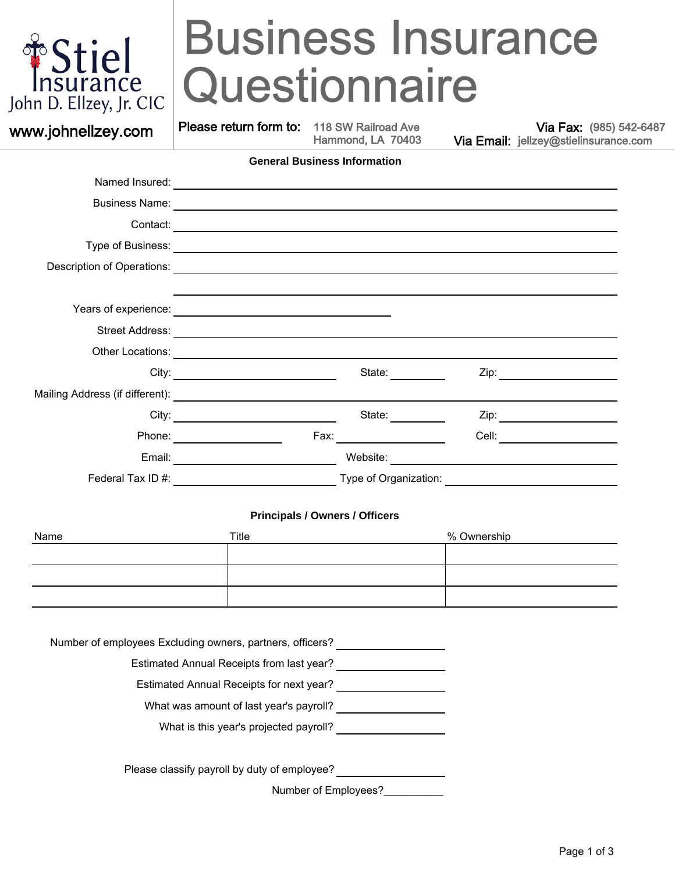

### jel do Ca Phone (985) 969-2682 Please return form to: jellzey@stielinsurance.com  $\bullet$  985-542 THSS II  $\mathbf{S}$  in  $\mathbf{S}$  in  $\mathbf{S}$  in  $\mathbf{S}$  in  $\mathbf{S}$ 112 M ROI RAIL **Business Insurance**  $\mathbf{B}$ usiness Insurance  $\mathbf{B}$ **Questionnaire**

Please return form to: 118 SW Railroad Ave

Hammond, LA 70403

Via Fax: (985) 542-6487 **WWW.johnellzey.com** Please return form to: 118 SW Railroad Ave Via Email: jellzey@stielinsurance.com in the Hammond, LA 70403 Via Email: jellzey@stielinsurance.com

| State:                                                  | Zip: _______________________                                                                                                                                                                                       |
|---------------------------------------------------------|--------------------------------------------------------------------------------------------------------------------------------------------------------------------------------------------------------------------|
|                                                         |                                                                                                                                                                                                                    |
| State:                                                  |                                                                                                                                                                                                                    |
| <u> a shekara ta 1999 a shekara ta 1991 a shekara t</u> | Cell:                                                                                                                                                                                                              |
| Website:                                                | <u> 1989 - Andrea State Barbara, política establece</u>                                                                                                                                                            |
|                                                         | <u> 1980 - Andrea Station Books, amerikansk politik (d. 1980)</u>                                                                                                                                                  |
|                                                         | <u> 1989 - Johann Stoff, deutscher Stoff, der Stoff, der Stoff, der Stoff, der Stoff, der Stoff, der Stoff, der S</u><br><u> 1989 - Jan Barbara, martxa al III-lea (h. 1989).</u><br>Fax:<br>Type of Organization: |

# **Principals / Owners / Officers**

| Name | Title | % Ownership |
|------|-------|-------------|
|      |       |             |
|      |       |             |
|      |       |             |

Number of employees Excluding owners, partners, officers?

Estimated Annual Receipts from last year?

Estimated Annual Receipts for next year?

What was amount of last year's payroll?

What is this year's projected payroll?

Please classify payroll by duty of employee?

Number of Employees?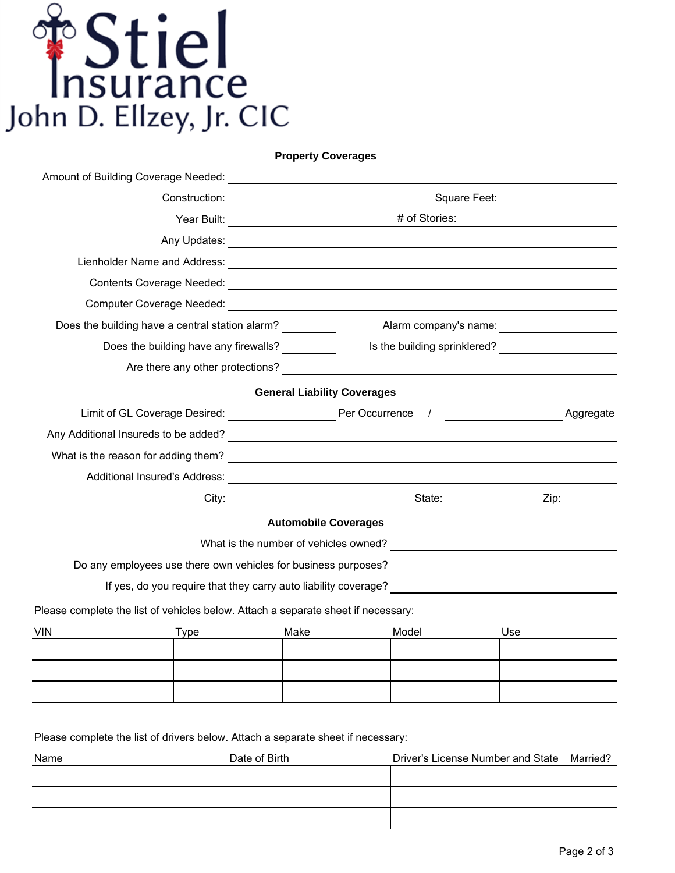

**Property Coverages**

| Amount of Building Coverage Needed:                                               |                                       | <u> 1980 - Jan Barat, martin amerikan ba</u> |                                                                                                                                                                                                                                     |                                 |
|-----------------------------------------------------------------------------------|---------------------------------------|----------------------------------------------|-------------------------------------------------------------------------------------------------------------------------------------------------------------------------------------------------------------------------------------|---------------------------------|
|                                                                                   |                                       |                                              |                                                                                                                                                                                                                                     | Square Feet: <u>___________</u> |
|                                                                                   |                                       |                                              |                                                                                                                                                                                                                                     |                                 |
|                                                                                   |                                       |                                              | Any Updates: <u>experience</u> and the contract of the contract of the contract of the contract of the contract of the contract of the contract of the contract of the contract of the contract of the contract of the contract of  |                                 |
|                                                                                   |                                       |                                              |                                                                                                                                                                                                                                     |                                 |
|                                                                                   |                                       |                                              |                                                                                                                                                                                                                                     |                                 |
|                                                                                   |                                       |                                              |                                                                                                                                                                                                                                     |                                 |
| Does the building have a central station alarm?                                   |                                       |                                              |                                                                                                                                                                                                                                     |                                 |
|                                                                                   | Does the building have any firewalls? |                                              |                                                                                                                                                                                                                                     |                                 |
|                                                                                   |                                       |                                              | Are there any other protections? The state of the state of the state of the state of the state of the state of the state of the state of the state of the state of the state of the state of the state of the state of the sta      |                                 |
|                                                                                   |                                       | <b>General Liability Coverages</b>           |                                                                                                                                                                                                                                     |                                 |
|                                                                                   |                                       |                                              |                                                                                                                                                                                                                                     | Aggregate                       |
|                                                                                   |                                       |                                              | Any Additional Insureds to be added?<br><u> and the manufacture of the set of the set of the set of the set of the set of the set of the set of the set o</u>                                                                       |                                 |
|                                                                                   |                                       |                                              |                                                                                                                                                                                                                                     |                                 |
|                                                                                   |                                       |                                              | Additional Insured's Address: <b>Acceleration of the Contract of Additional Insured's Address:</b> And Address and Address and Address and Address and Address and Address and Address and Address and Address and Address and Addr |                                 |
|                                                                                   |                                       |                                              | State: _________                                                                                                                                                                                                                    | Zip:                            |
|                                                                                   |                                       | <b>Automobile Coverages</b>                  |                                                                                                                                                                                                                                     |                                 |
|                                                                                   |                                       |                                              |                                                                                                                                                                                                                                     |                                 |
|                                                                                   |                                       |                                              | Do any employees use there own vehicles for business purposes? _________________                                                                                                                                                    |                                 |
|                                                                                   |                                       |                                              |                                                                                                                                                                                                                                     |                                 |
| Please complete the list of vehicles below. Attach a separate sheet if necessary: |                                       |                                              |                                                                                                                                                                                                                                     |                                 |
| VIN                                                                               | <b>Type</b>                           | Make                                         | Model                                                                                                                                                                                                                               | Use                             |
|                                                                                   |                                       |                                              |                                                                                                                                                                                                                                     |                                 |
|                                                                                   |                                       |                                              |                                                                                                                                                                                                                                     |                                 |

Please complete the list of drivers below. Attach a separate sheet if necessary:

| Name | Date of Birth | Driver's License Number and State | Married? |
|------|---------------|-----------------------------------|----------|
|      |               |                                   |          |
|      |               |                                   |          |
|      |               |                                   |          |
|      |               |                                   |          |